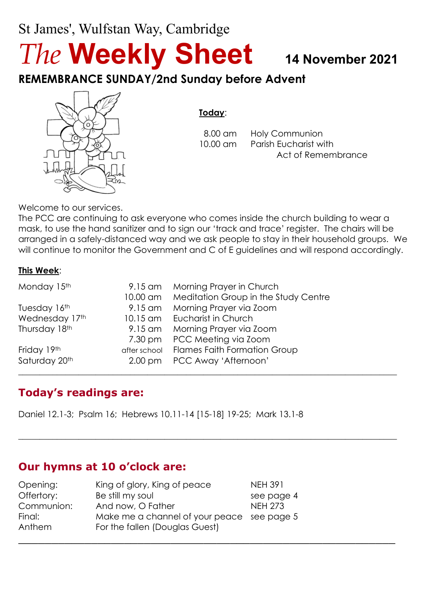# St James', Wulfstan Way, Cambridge

# *The* **Weekly Sheet <sup>14</sup> November <sup>2021</sup>**

**REMEMBRANCE SUNDAY/2nd Sunday before Advent**



#### **Today**:

 8.00 am Holy Communion 10.00 am Parish Eucharist with Act of Remembrance

Welcome to our services.

The PCC are continuing to ask everyone who comes inside the church building to wear a mask, to use the hand sanitizer and to sign our 'track and trace' register. The chairs will be arranged in a safely-distanced way and we ask people to stay in their household groups. We will continue to monitor the Government and C of E guidelines and will respond accordingly.

 $\_$  , and the set of the set of the set of the set of the set of the set of the set of the set of the set of the set of the set of the set of the set of the set of the set of the set of the set of the set of the set of th

 $\_$  , and the set of the set of the set of the set of the set of the set of the set of the set of the set of the set of the set of the set of the set of the set of the set of the set of the set of the set of the set of th

#### **This Week**:

| Monday 15th    | $9.15$ am         | Morning Prayer in Church             |
|----------------|-------------------|--------------------------------------|
|                | 10.00 am          | Meditation Group in the Study Centre |
| Tuesday 16th   | 9.15 am           | Morning Prayer via Zoom              |
| Wednesday 17th | 10.15 am          | <b>Eucharist in Church</b>           |
| Thursday 18th  | 9.15 am           | Morning Prayer via Zoom              |
|                | 7.30 pm           | PCC Meeting via Zoom                 |
| Friday 19th    | after school      | <b>Flames Faith Formation Group</b>  |
| Saturday 20th  | $2.00 \text{ pm}$ | PCC Away 'Afternoon'                 |

### **Today's readings are:**

Daniel 12.1-3; Psalm 16; Hebrews 10.11-14 [15-18] 19-25; Mark 13.1-8

#### **Our hymns at 10 o'clock are:**

| Opening:   | King of glory, King of peace               | <b>NEH 391</b> |
|------------|--------------------------------------------|----------------|
| Offertory: | Be still my soul                           | see page 4     |
| Communion: | And now, O Father                          | <b>NEH 273</b> |
| Final:     | Make me a channel of your peace see page 5 |                |
| Anthem     | For the fallen (Douglas Guest)             |                |
|            |                                            |                |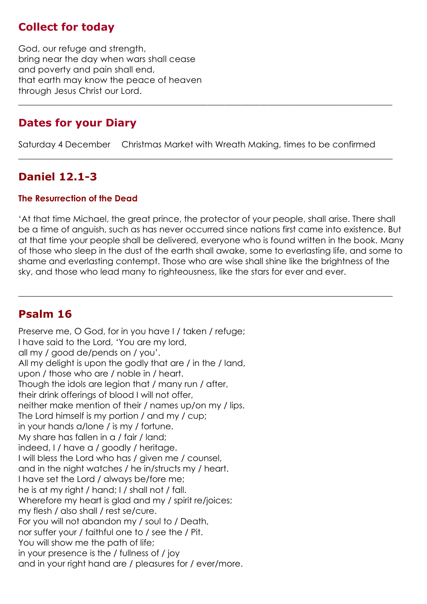### **Collect for today**

God, our refuge and strength, bring near the day when wars shall cease and poverty and pain shall end, that earth may know the peace of heaven through Jesus Christ our Lord.

# **Dates for your Diary**

Saturday 4 December Christmas Market with Wreath Making, times to be confirmed

 $\_$  , and the set of the set of the set of the set of the set of the set of the set of the set of the set of the set of the set of the set of the set of the set of the set of the set of the set of the set of the set of th

\_\_\_\_\_\_\_\_\_\_\_\_\_\_\_\_\_\_\_\_\_\_\_\_\_\_\_\_\_\_\_\_\_\_\_\_\_\_\_\_\_\_\_\_\_\_\_\_\_\_\_\_\_\_\_\_\_\_\_\_\_\_\_\_\_\_\_\_\_\_\_\_\_\_\_\_\_\_\_\_\_\_\_\_\_

#### **Daniel 12.1-3**

#### **The Resurrection of the Dead**

'At that time Michael, the great prince, the protector of your people, shall arise. There shall be a time of anguish, such as has never occurred since nations first came into existence. But at that time your people shall be delivered, everyone who is found written in the book. Many of those who sleep in the dust of the earth shall awake, some to everlasting life, and some to shame and everlasting contempt. Those who are wise shall shine like the brightness of the sky, and those who lead many to righteousness, like the stars for ever and ever.

 $\_$  , and the set of the set of the set of the set of the set of the set of the set of the set of the set of the set of the set of the set of the set of the set of the set of the set of the set of the set of the set of th

#### **Psalm 16**

Preserve me, O God, for in you have I / taken / refuge; I have said to the Lord, 'You are my lord, all my / good de/pends on / you'. All my delight is upon the godly that are / in the / land, upon / those who are / noble in / heart. Though the idols are legion that / many run / after, their drink offerings of blood I will not offer, neither make mention of their / names up/on my / lips. The Lord himself is my portion / and my / cup; in your hands a/lone / is my / fortune. My share has fallen in a / fair / land; indeed, I / have a / goodly / heritage. I will bless the Lord who has / given me / counsel, and in the night watches / he in/structs my / heart. I have set the Lord / always be/fore me; he is at my right / hand; I / shall not / fall. Wherefore my heart is glad and my / spirit re/joices; my flesh / also shall / rest se/cure. For you will not abandon my / soul to / Death, nor suffer your / faithful one to / see the / Pit. You will show me the path of life; in your presence is the / fullness of / joy and in your right hand are / pleasures for / ever/more.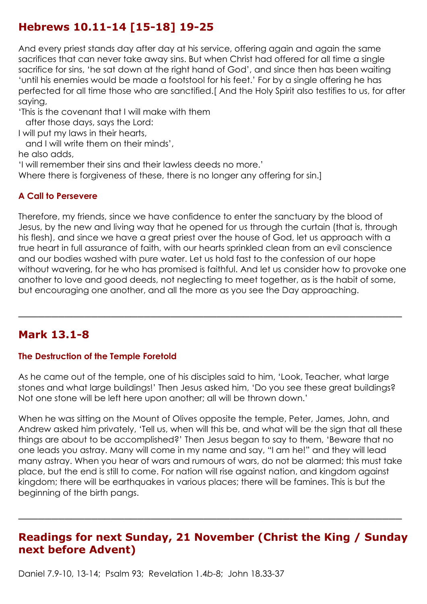# **Hebrews 10.11-14 [15-18] 19-25**

And every priest stands day after day at his service, offering again and again the same sacrifices that can never take away sins. But when Christ had offered for all time a single sacrifice for sins, 'he sat down at the right hand of God', and since then has been waiting 'until his enemies would be made a footstool for his feet.' For by a single offering he has perfected for all time those who are sanctified.[ And the Holy Spirit also testifies to us, for after saying,

'This is the covenant that I will make with them

after those days, says the Lord:

I will put my laws in their hearts,

and I will write them on their minds',

he also adds,

'I will remember their sins and their lawless deeds no more.'

Where there is forgiveness of these, there is no longer any offering for sin.]

#### **A Call to Persevere**

Therefore, my friends, since we have confidence to enter the sanctuary by the blood of Jesus, by the new and living way that he opened for us through the curtain (that is, through his flesh), and since we have a great priest over the house of God, let us approach with a true heart in full assurance of faith, with our hearts sprinkled clean from an evil conscience and our bodies washed with pure water. Let us hold fast to the confession of our hope without wavering, for he who has promised is faithful. And let us consider how to provoke one another to love and good deeds, not neglecting to meet together, as is the habit of some, but encouraging one another, and all the more as you see the Day approaching.

\_\_\_\_\_\_\_\_\_\_\_\_\_\_\_\_\_\_\_\_\_\_\_\_\_\_\_\_\_\_\_\_\_\_\_\_\_\_\_\_\_\_\_\_\_\_\_\_\_\_\_\_\_\_\_\_\_\_

### **Mark 13.1-8**

#### **The Destruction of the Temple Foretold**

As he came out of the temple, one of his disciples said to him, 'Look, Teacher, what large stones and what large buildings!' Then Jesus asked him, 'Do you see these great buildings? Not one stone will be left here upon another; all will be thrown down.'

When he was sitting on the Mount of Olives opposite the temple, Peter, James, John, and Andrew asked him privately, 'Tell us, when will this be, and what will be the sign that all these things are about to be accomplished?' Then Jesus began to say to them, 'Beware that no one leads you astray. Many will come in my name and say, "I am he!" and they will lead many astray. When you hear of wars and rumours of wars, do not be alarmed; this must take place, but the end is still to come. For nation will rise against nation, and kingdom against kingdom; there will be earthquakes in various places; there will be famines. This is but the beginning of the birth pangs.

# **Readings for next Sunday, 21 November (Christ the King / Sunday next before Advent)**

\_\_\_\_\_\_\_\_\_\_\_\_\_\_\_\_\_\_\_\_\_\_\_\_\_\_\_\_\_\_\_\_\_\_\_\_\_\_\_\_\_\_\_\_\_\_\_\_\_\_\_\_\_\_\_\_\_\_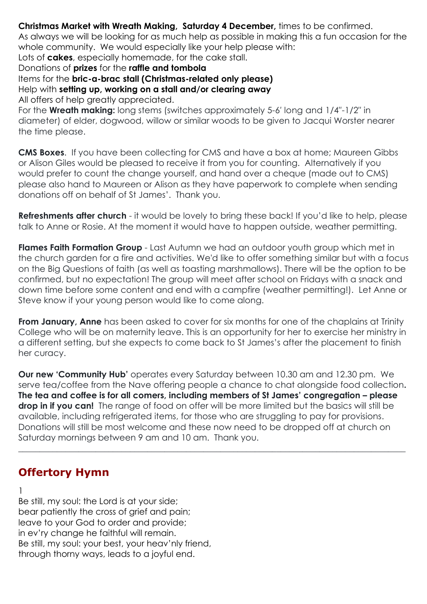**Christmas Market with Wreath Making, Saturday 4 December,** times to be confirmed.

As always we will be looking for as much help as possible in making this a fun occasion for the whole community. We would especially like your help please with:

Lots of **cakes**, especially homemade, for the cake stall.

Donations of **prizes** for the **raffle and tombola**

Items for the **bric-a-brac stall (Christmas-related only please)**

Help with **setting up, working on a stall and/or clearing away**

All offers of help greatly appreciated.

For the **Wreath making:** long stems (switches approximately 5-6′ long and 1/4″-1/2″ in diameter) of elder, dogwood, willow or similar woods to be given to Jacqui Worster nearer the time please.

**CMS Boxes**. If you have been collecting for CMS and have a box at home; Maureen Gibbs or Alison Giles would be pleased to receive it from you for counting. Alternatively if you would prefer to count the change yourself, and hand over a cheque (made out to CMS) please also hand to Maureen or Alison as they have paperwork to complete when sending donations off on behalf of St James'. Thank you.

**Refreshments after church** - it would be lovely to bring these back! If you'd like to help, please talk to Anne or Rosie. At the moment it would have to happen outside, weather permitting.

**Flames Faith Formation Group** - Last Autumn we had an outdoor youth group which met in the church garden for a fire and activities. We'd like to offer something similar but with a focus on the Big Questions of faith (as well as toasting marshmallows). There will be the option to be confirmed, but no expectation! The group will meet after school on Fridays with a snack and down time before some content and end with a campfire (weather permitting!). Let Anne or Steve know if your young person would like to come along.

**From January, Anne** has been asked to cover for six months for one of the chaplains at Trinity College who will be on maternity leave. This is an opportunity for her to exercise her ministry in a different setting, but she expects to come back to St James's after the placement to finish her curacy.

**Our new 'Community Hub'** operates every Saturday between 10.30 am and 12.30 pm. We serve tea/coffee from the Nave offering people a chance to chat alongside food collection**. The tea and coffee is for all comers, including members of St James' congregation – please drop in if you can!** The range of food on offer will be more limited but the basics will still be available, including refrigerated items, for those who are struggling to pay for provisions. Donations will still be most welcome and these now need to be dropped off at church on Saturday mornings between 9 am and 10 am. Thank you.

 $\_$  , and the set of the set of the set of the set of the set of the set of the set of the set of the set of the set of the set of the set of the set of the set of the set of the set of the set of the set of the set of th

### **Offertory Hymn**

1

Be still, my soul: the Lord is at your side; bear patiently the cross of grief and pain; leave to your God to order and provide; in ev'ry change he faithful will remain. Be still, my soul: your best, your heav'nly friend, through thorny ways, leads to a joyful end.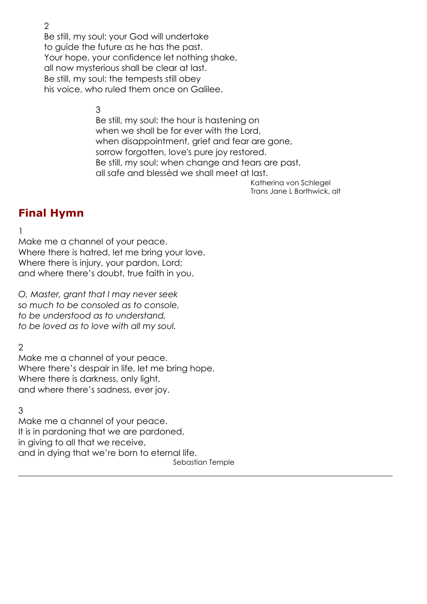Be still, my soul: your God will undertake to guide the future as he has the past. Your hope, your confidence let nothing shake, all now mysterious shall be clear at last. Be still, my soul: the tempests still obey his voice, who ruled them once on Galilee.

3

Be still, my soul: the hour is hastening on when we shall be for ever with the Lord. when disappointment, grief and fear are gone, sorrow forgotten, love's pure joy restored. Be still, my soul: when change and tears are past, all safe and blessèd we shall meet at last.

 $\_$  , and the set of the set of the set of the set of the set of the set of the set of the set of the set of the set of the set of the set of the set of the set of the set of the set of the set of the set of the set of th

Katherina von Schlegel Trans Jane L Borthwick, alt

# **Final Hymn**

2

1

Make me a channel of your peace. Where there is hatred, let me bring your love. Where there is injury, your pardon, Lord; and where there's doubt, true faith in you.

*O, Master, grant that I may never seek so much to be consoled as to console, to be understood as to understand, to be loved as to love with all my soul.*

2

Make me a channel of your peace. Where there's despair in life, let me bring hope. Where there is darkness, only light, and where there's sadness, ever joy.

3

Make me a channel of your peace. It is in pardoning that we are pardoned, in giving to all that we receive, and in dying that we're born to eternal life. Sebastian Temple